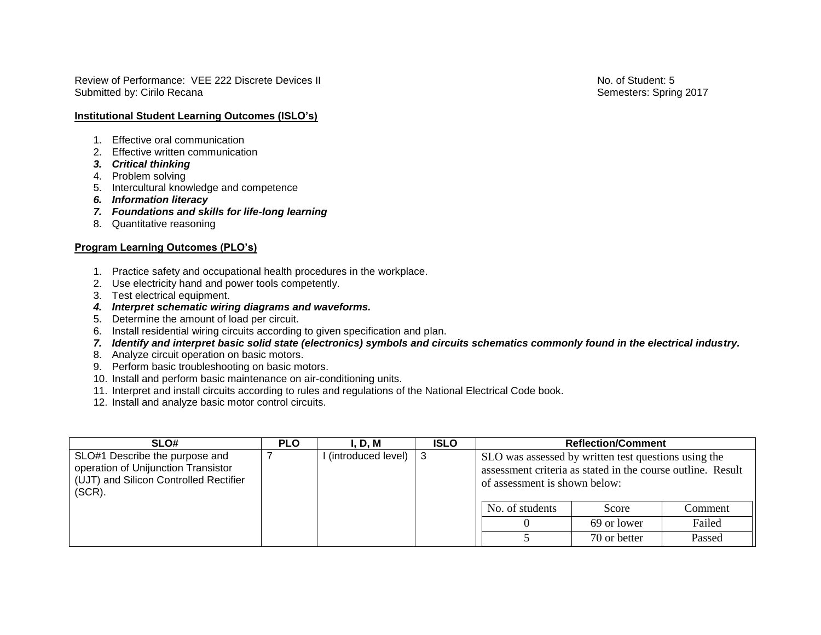Review of Performance: VEE 222 Discrete Devices II No. of Student: 5 Submitted by: Cirilo Recana Semesters: Spring 2017

**Institutional Student Learning Outcomes (ISLO's)**

- 1. Effective oral communication
- 2. Effective written communication
- *3. Critical thinking*
- 4. Problem solving
- 5. Intercultural knowledge and competence
- *6. Information literacy*
- *7. Foundations and skills for life-long learning*
- 8. Quantitative reasoning

## **Program Learning Outcomes (PLO's)**

- 1. Practice safety and occupational health procedures in the workplace.
- 2. Use electricity hand and power tools competently.
- 3. Test electrical equipment.
- *4. Interpret schematic wiring diagrams and waveforms.*
- 5. Determine the amount of load per circuit.
- 6. Install residential wiring circuits according to given specification and plan.
- *7. Identify and interpret basic solid state (electronics) symbols and circuits schematics commonly found in the electrical industry.*
- 8. Analyze circuit operation on basic motors.
- 9. Perform basic troubleshooting on basic motors.
- 10. Install and perform basic maintenance on air-conditioning units.
- 11. Interpret and install circuits according to rules and regulations of the National Electrical Code book.
- 12. Install and analyze basic motor control circuits.

| SLO#                                                                                                                         | <b>PLO</b> | I. D. M            | <b>ISLO</b> | <b>Reflection/Comment</b>                                                                                                                            |              |         |
|------------------------------------------------------------------------------------------------------------------------------|------------|--------------------|-------------|------------------------------------------------------------------------------------------------------------------------------------------------------|--------------|---------|
| SLO#1 Describe the purpose and<br>operation of Unijunction Transistor<br>(UJT) and Silicon Controlled Rectifier<br>$(SCR)$ . |            | (introduced level) | - 3         | SLO was assessed by written test questions using the<br>assessment criteria as stated in the course outline. Result<br>of assessment is shown below: |              |         |
|                                                                                                                              |            |                    |             | No. of students                                                                                                                                      | Score        | Comment |
|                                                                                                                              |            |                    |             |                                                                                                                                                      | 69 or lower  | Failed  |
|                                                                                                                              |            |                    |             |                                                                                                                                                      | 70 or better | Passed  |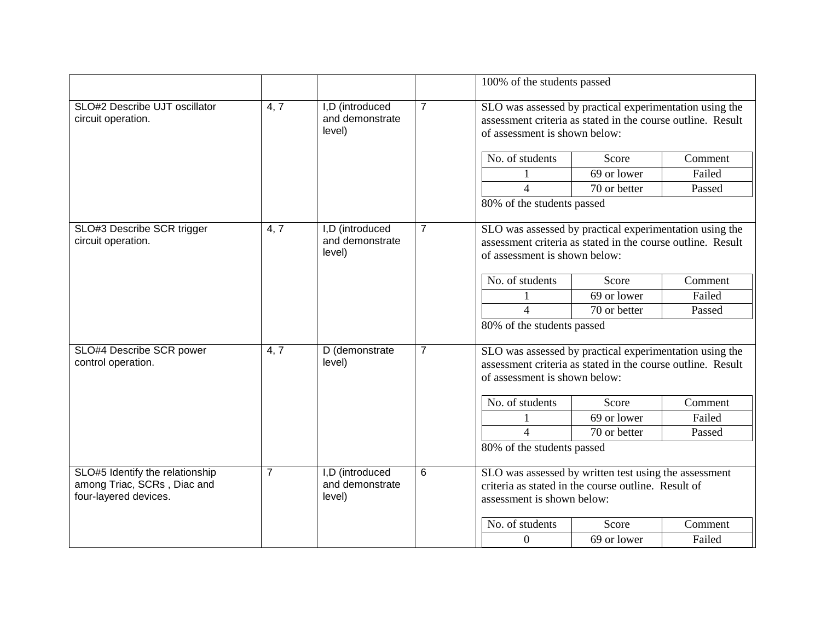|                                                                                         |                |                                              |                | 100% of the students passed                                                                                                                             |                                                                                                                                                         |         |  |
|-----------------------------------------------------------------------------------------|----------------|----------------------------------------------|----------------|---------------------------------------------------------------------------------------------------------------------------------------------------------|---------------------------------------------------------------------------------------------------------------------------------------------------------|---------|--|
| SLO#2 Describe UJT oscillator<br>circuit operation.                                     | 4, 7           | I,D (introduced<br>and demonstrate<br>level) | $\overline{7}$ |                                                                                                                                                         | SLO was assessed by practical experimentation using the<br>assessment criteria as stated in the course outline. Result<br>of assessment is shown below: |         |  |
|                                                                                         |                |                                              |                | No. of students                                                                                                                                         | Score                                                                                                                                                   | Comment |  |
|                                                                                         |                |                                              |                |                                                                                                                                                         | 69 or lower                                                                                                                                             | Failed  |  |
|                                                                                         |                |                                              |                | $\overline{4}$                                                                                                                                          | 70 or better                                                                                                                                            | Passed  |  |
|                                                                                         |                |                                              |                | 80% of the students passed                                                                                                                              |                                                                                                                                                         |         |  |
| SLO#3 Describe SCR trigger<br>circuit operation.                                        | 4, 7           | I,D (introduced<br>and demonstrate<br>level) | $\overline{7}$ | SLO was assessed by practical experimentation using the<br>assessment criteria as stated in the course outline. Result<br>of assessment is shown below: |                                                                                                                                                         |         |  |
|                                                                                         |                |                                              |                | No. of students                                                                                                                                         | Score                                                                                                                                                   | Comment |  |
|                                                                                         |                |                                              |                |                                                                                                                                                         | 69 or lower                                                                                                                                             | Failed  |  |
|                                                                                         |                |                                              |                | $\overline{4}$                                                                                                                                          | 70 or better                                                                                                                                            | Passed  |  |
|                                                                                         |                |                                              |                | 80% of the students passed                                                                                                                              |                                                                                                                                                         |         |  |
| SLO#4 Describe SCR power<br>control operation.                                          | 4, 7           | D (demonstrate<br>level)                     | $\overline{7}$ | SLO was assessed by practical experimentation using the<br>assessment criteria as stated in the course outline. Result<br>of assessment is shown below: |                                                                                                                                                         |         |  |
|                                                                                         |                |                                              |                | No. of students                                                                                                                                         | Score                                                                                                                                                   | Comment |  |
|                                                                                         |                |                                              |                |                                                                                                                                                         | 69 or lower                                                                                                                                             | Failed  |  |
|                                                                                         |                |                                              |                | $\overline{4}$                                                                                                                                          | 70 or better                                                                                                                                            | Passed  |  |
|                                                                                         |                |                                              |                | 80% of the students passed                                                                                                                              |                                                                                                                                                         |         |  |
| SLO#5 Identify the relationship<br>among Triac, SCRs, Diac and<br>four-layered devices. | $\overline{7}$ | I,D (introduced<br>and demonstrate<br>level) | 6              |                                                                                                                                                         | SLO was assessed by written test using the assessment<br>criteria as stated in the course outline. Result of<br>assessment is shown below:              |         |  |
|                                                                                         |                |                                              |                | No. of students                                                                                                                                         | Score                                                                                                                                                   | Comment |  |
|                                                                                         |                |                                              |                | $\boldsymbol{0}$                                                                                                                                        | 69 or lower                                                                                                                                             | Failed  |  |